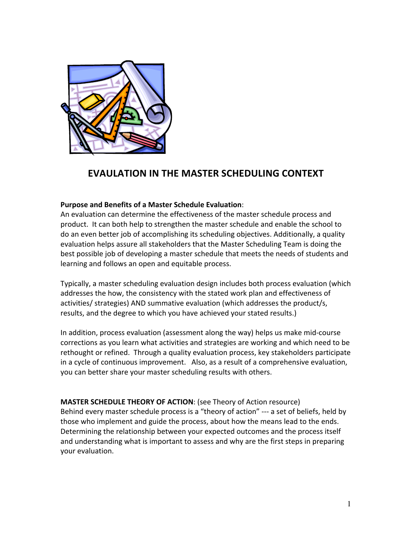

# **EVAULATION IN THE MASTER SCHEDULING CONTEXT**

## **Purpose and Benefits of a Master Schedule Evaluation:**

An evaluation can determine the effectiveness of the master schedule process and product. It can both help to strengthen the master schedule and enable the school to do an even better job of accomplishing its scheduling objectives. Additionally, a quality evaluation helps assure all stakeholders that the Master Scheduling Team is doing the best possible job of developing a master schedule that meets the needs of students and learning and follows an open and equitable process.

Typically, a master scheduling evaluation design includes both process evaluation (which addresses the how, the consistency with the stated work plan and effectiveness of activities/ strategies) AND summative evaluation (which addresses the product/s, results, and the degree to which you have achieved your stated results.)

In addition, process evaluation (assessment along the way) helps us make mid-course corrections as you learn what activities and strategies are working and which need to be rethought or refined. Through a quality evaluation process, key stakeholders participate in a cycle of continuous improvement. Also, as a result of a comprehensive evaluation, you can better share your master scheduling results with others.

## **MASTER SCHEDULE THEORY OF ACTION:** (see Theory of Action resource)

Behind every master schedule process is a "theory of action" --- a set of beliefs, held by those who implement and guide the process, about how the means lead to the ends. Determining the relationship between your expected outcomes and the process itself and understanding what is important to assess and why are the first steps in preparing your evaluation.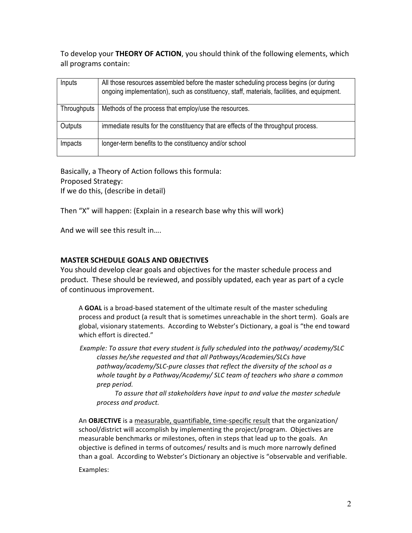To develop your **THEORY OF ACTION**, you should think of the following elements, which all programs contain:

| Inputs      | All those resources assembled before the master scheduling process begins (or during<br>ongoing implementation), such as constituency, staff, materials, facilities, and equipment. |
|-------------|-------------------------------------------------------------------------------------------------------------------------------------------------------------------------------------|
| Throughputs | Methods of the process that employ/use the resources.                                                                                                                               |
| Outputs     | immediate results for the constituency that are effects of the throughput process.                                                                                                  |
| Impacts     | longer-term benefits to the constituency and/or school                                                                                                                              |

Basically, a Theory of Action follows this formula: Proposed Strategy: If we do this, (describe in detail)

Then "X" will happen: (Explain in a research base why this will work)

And we will see this result in....

### **MASTER SCHEDULE GOALS AND OBJECTIVES**

You should develop clear goals and objectives for the master schedule process and product. These should be reviewed, and possibly updated, each year as part of a cycle of continuous improvement.

A **GOAL** is a broad-based statement of the ultimate result of the master scheduling process and product (a result that is sometimes unreachable in the short term). Goals are global, visionary statements. According to Webster's Dictionary, a goal is "the end toward which effort is directed."

*Example: To assure that every student is fully scheduled into the pathway/ academy/SLC classes he/she requested and that all Pathways/Academies/SLCs have* pathway/academy/SLC-pure classes that reflect the diversity of the school as a whole taught by a Pathway/Academy/ SLC team of teachers who share a common *prep period.* 

To assure that all stakeholders have input to and value the master schedule *process and product.* 

An **OBJECTIVE** is a measurable, quantifiable, time-specific result that the organization/ school/district will accomplish by implementing the project/program. Objectives are measurable benchmarks or milestones, often in steps that lead up to the goals. An objective is defined in terms of outcomes/ results and is much more narrowly defined than a goal. According to Webster's Dictionary an objective is "observable and verifiable.

Examples: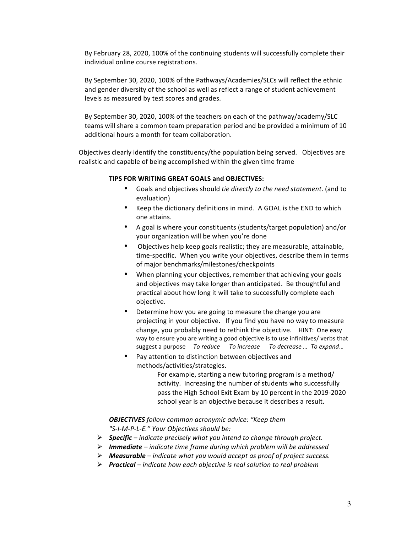By February 28, 2020, 100% of the continuing students will successfully complete their individual online course registrations.

By September 30, 2020, 100% of the Pathways/Academies/SLCs will reflect the ethnic and gender diversity of the school as well as reflect a range of student achievement levels as measured by test scores and grades.

By September 30, 2020, 100% of the teachers on each of the pathway/academy/SLC teams will share a common team preparation period and be provided a minimum of 10 additional hours a month for team collaboration.

Objectives clearly identify the constituency/the population being served. Objectives are realistic and capable of being accomplished within the given time frame

#### **TIPS FOR WRITING GREAT GOALS and OBJECTIVES:**

- Goals and objectives should *tie directly to the need statement*. (and to evaluation)
- Keep the dictionary definitions in mind. A GOAL is the END to which one attains.
- A goal is where your constituents (students/target population) and/or your organization will be when you're done
- Objectives help keep goals realistic; they are measurable, attainable, time-specific. When you write your objectives, describe them in terms of major benchmarks/milestones/checkpoints
- When planning your objectives, remember that achieving your goals and objectives may take longer than anticipated. Be thoughtful and practical about how long it will take to successfully complete each objective.
- Determine how you are going to measure the change you are projecting in your objective. If you find you have no way to measure change, you probably need to rethink the objective. HINT: One easy way to ensure you are writing a good objective is to use infinitives/ verbs that suggest a purpose To reduce To increase To decrease ... To expand...
- Pay attention to distinction between objectives and methods/activities/strategies.

For example, starting a new tutoring program is a method/ activity. Increasing the number of students who successfully pass the High School Exit Exam by 10 percent in the 2019-2020 school year is an objective because it describes a result.

*OBJECTIVES* follow common acronymic advice: "Keep them "S-I-M-P-L-E." Your Objectives should be:

- Ø *Specific – indicate precisely what you intend to change through project.*
- Ø *Immediate – indicate time frame during which problem will be addressed*
- Ø *Measurable – indicate what you would accept as proof of project success.*
- Ø *Practical – indicate how each objective is real solution to real problem*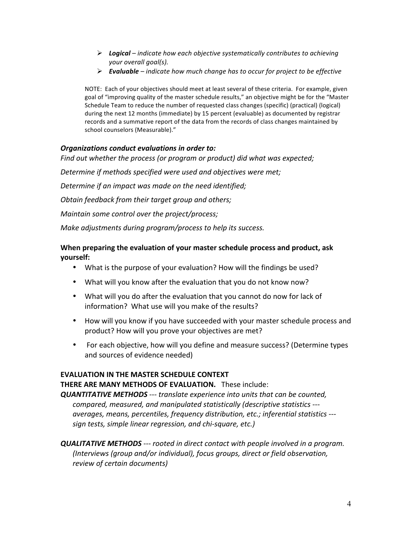- $\triangleright$  **Logical** indicate how each objective systematically contributes to achieving *your overall goal(s).*
- $\triangleright$  **Evaluable** *indicate how much change has to occur for project to be effective*

NOTE: Each of your objectives should meet at least several of these criteria. For example, given goal of "improving quality of the master schedule results," an objective might be for the "Master Schedule Team to reduce the number of requested class changes (specific) (practical) (logical) during the next 12 months (immediate) by 15 percent (evaluable) as documented by registrar records and a summative report of the data from the records of class changes maintained by school counselors (Measurable)."

## **Organizations conduct evaluations in order to:**

Find out whether the process (or program or product) did what was expected;

Determine if methods specified were used and objectives were met;

Determine if an impact was made on the need identified;

**Obtain feedback from their target group and others;** 

*Maintain some control over the project/process;* 

*Make adjustments during program/process to help its success.* 

## When preparing the evaluation of your master schedule process and product, ask **yourself:**

- What is the purpose of your evaluation? How will the findings be used?
- What will you know after the evaluation that you do not know now?
- What will you do after the evaluation that you cannot do now for lack of information? What use will you make of the results?
- How will you know if you have succeeded with your master schedule process and product? How will you prove your objectives are met?
- For each objective, how will you define and measure success? (Determine types and sources of evidence needed)

#### **EVALUATION IN THE MASTER SCHEDULE CONTEXT THERE ARE MANY METHODS OF EVALUATION.** These include:

*QUANTITATIVE METHODS* --- *translate experience into units that can be counted,* compared, measured, and manipulated statistically (descriptive statistics --averages, means, percentiles, frequency distribution, etc.; inferential statistics --*sign tests, simple linear regression, and chi-square, etc.)*

**QUALITATIVE METHODS** --- rooted in direct contact with people involved in a program. *(Interviews (group and/or individual), focus groups, direct or field observation,* review of certain documents)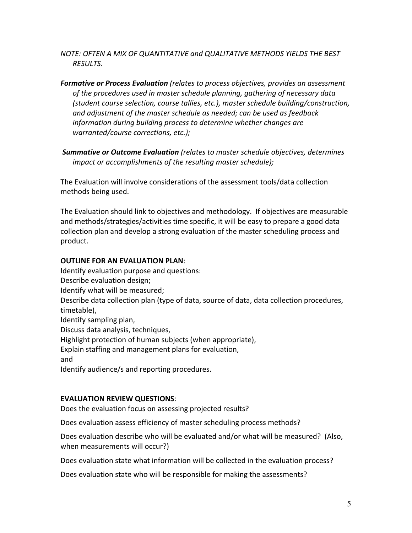*NOTE: OFTEN A MIX OF QUANTITATIVE and QUALITATIVE METHODS YIELDS THE BEST RESULTS.*

**Formative or Process Evaluation** (relates to process objectives, provides an assessment of the procedures used in master schedule planning, gathering of necessary data *(student course selection, course tallies, etc.), master schedule building/construction,* and adjustment of the master schedule as needed; can be used as feedback information during building process to determine whether changes are *warranted/course corrections, etc.);*

**Summative or Outcome Evaluation** (relates to master schedule objectives, determines *impact or accomplishments of the resulting master schedule);* 

The Evaluation will involve considerations of the assessment tools/data collection methods being used.

The Evaluation should link to objectives and methodology. If objectives are measurable and methods/strategies/activities time specific, it will be easy to prepare a good data collection plan and develop a strong evaluation of the master scheduling process and product. 

## **OUTLINE FOR AN EVALUATION PLAN:**

Identify evaluation purpose and questions: Describe evaluation design; Identify what will be measured; Describe data collection plan (type of data, source of data, data collection procedures, timetable), Identify sampling plan, Discuss data analysis, techniques, Highlight protection of human subjects (when appropriate), Explain staffing and management plans for evaluation, and Identify audience/s and reporting procedures.

### **EVALUATION REVIEW QUESTIONS**:

Does the evaluation focus on assessing projected results?

Does evaluation assess efficiency of master scheduling process methods?

Does evaluation describe who will be evaluated and/or what will be measured? (Also, when measurements will occur?)

Does evaluation state what information will be collected in the evaluation process?

Does evaluation state who will be responsible for making the assessments?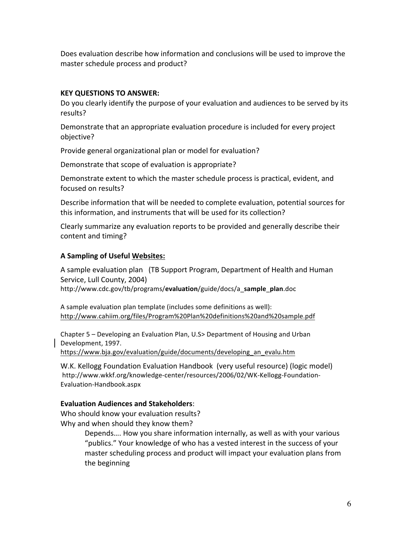Does evaluation describe how information and conclusions will be used to improve the master schedule process and product?

## **KEY QUESTIONS TO ANSWER:**

Do you clearly identify the purpose of your evaluation and audiences to be served by its results? 

Demonstrate that an appropriate evaluation procedure is included for every project objective? 

Provide general organizational plan or model for evaluation?

Demonstrate that scope of evaluation is appropriate?

Demonstrate extent to which the master schedule process is practical, evident, and focused on results?

Describe information that will be needed to complete evaluation, potential sources for this information, and instruments that will be used for its collection?

Clearly summarize any evaluation reports to be provided and generally describe their content and timing?

## **A Sampling of Useful Websites:**

A sample evaluation plan (TB Support Program, Department of Health and Human Service, Lull County, 2004) http://www.cdc.gov/tb/programs/**evaluation**/guide/docs/a\_**sample**\_**plan**.doc

A sample evaluation plan template (includes some definitions as well): http://www.cahiim.org/files/Program%20Plan%20definitions%20and%20sample.pdf

Chapter 5 – Developing an Evaluation Plan, U.S> Department of Housing and Urban Development, 1997. https://www.bja.gov/evaluation/guide/documents/developing\_an\_evalu.htm

W.K. Kellogg Foundation Evaluation Handbook (very useful resource) (logic model) http://www.wkkf.org/knowledge-center/resources/2006/02/WK-Kellogg-Foundation-Evaluation-Handbook.aspx

## **Evaluation Audiences and Stakeholders**:

Who should know your evaluation results? Why and when should they know them?

> Depends.... How you share information internally, as well as with your various "publics." Your knowledge of who has a vested interest in the success of your master scheduling process and product will impact your evaluation plans from the beginning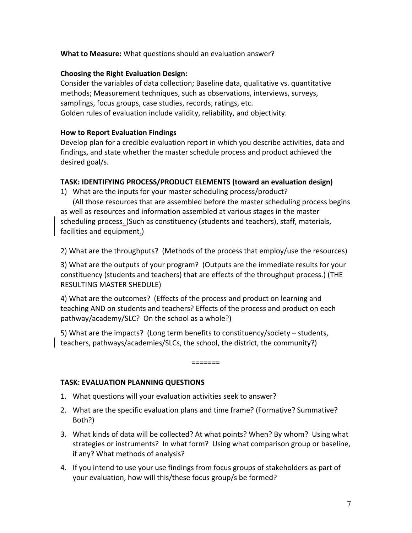**What to Measure:** What questions should an evaluation answer?

## **Choosing the Right Evaluation Design:**

Consider the variables of data collection; Baseline data, qualitative vs. quantitative methods; Measurement techniques, such as observations, interviews, surveys, samplings, focus groups, case studies, records, ratings, etc. Golden rules of evaluation include validity, reliability, and objectivity.

## **How to Report Evaluation Findings**

Develop plan for a credible evaluation report in which you describe activities, data and findings, and state whether the master schedule process and product achieved the desired goal/s.

## **TASK: IDENTIFYING PROCESS/PRODUCT ELEMENTS (toward an evaluation design)**

1) What are the inputs for your master scheduling process/product?

(All those resources that are assembled before the master scheduling process begins as well as resources and information assembled at various stages in the master scheduling process. (Such as constituency (students and teachers), staff, materials, facilities and equipment.)

2) What are the throughputs? (Methods of the process that employ/use the resources)

3) What are the outputs of your program? (Outputs are the immediate results for your constituency (students and teachers) that are effects of the throughput process.) (THE RESULTING MASTER SHEDULE)

4) What are the outcomes? (Effects of the process and product on learning and teaching AND on students and teachers? Effects of the process and product on each pathway/academy/SLC? On the school as a whole?)

5) What are the impacts? (Long term benefits to constituency/society  $-$  students, teachers, pathways/academies/SLCs, the school, the district, the community?)

=======

### **TASK: EVALUATION PLANNING QUESTIONS**

- 1. What questions will your evaluation activities seek to answer?
- 2. What are the specific evaluation plans and time frame? (Formative? Summative? Both?)
- 3. What kinds of data will be collected? At what points? When? By whom? Using what strategies or instruments? In what form? Using what comparison group or baseline, if any? What methods of analysis?
- 4. If you intend to use your use findings from focus groups of stakeholders as part of your evaluation, how will this/these focus group/s be formed?